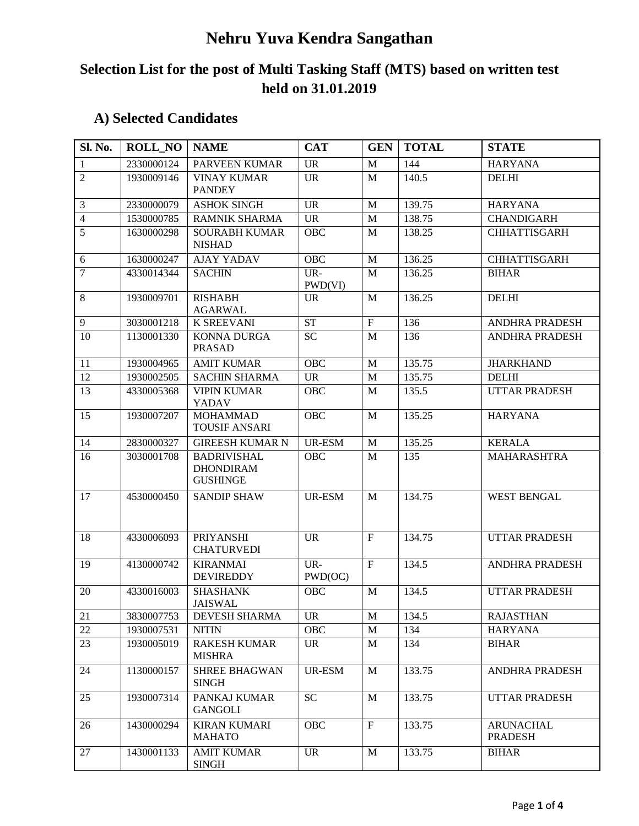# **Nehru Yuva Kendra Sangathan**

# **Selection List for the post of Multi Tasking Staff (MTS) based on written test held on 31.01.2019**

# **A) Selected Candidates**

| Sl. No.        | <b>ROLL_NO</b> | <b>NAME</b>                                               | <b>CAT</b>     | <b>GEN</b>                | <b>TOTAL</b> | <b>STATE</b>                       |
|----------------|----------------|-----------------------------------------------------------|----------------|---------------------------|--------------|------------------------------------|
| $\mathbf{1}$   | 2330000124     | PARVEEN KUMAR                                             | <b>UR</b>      | $\mathbf{M}$              | 144          | <b>HARYANA</b>                     |
| $\overline{2}$ | 1930009146     | <b>VINAY KUMAR</b><br><b>PANDEY</b>                       | <b>UR</b>      | M                         | 140.5        | <b>DELHI</b>                       |
| 3              | 2330000079     | <b>ASHOK SINGH</b>                                        | <b>UR</b>      | M                         | 139.75       | <b>HARYANA</b>                     |
| $\overline{4}$ | 1530000785     | <b>RAMNIK SHARMA</b>                                      | <b>UR</b>      | M                         | 138.75       | <b>CHANDIGARH</b>                  |
| 5              | 1630000298     | <b>SOURABH KUMAR</b><br><b>NISHAD</b>                     | <b>OBC</b>     | M                         | 138.25       | <b>CHHATTISGARH</b>                |
| 6              | 1630000247     | <b>AJAY YADAV</b>                                         | OBC            | M                         | 136.25       | <b>CHHATTISGARH</b>                |
| $\overline{7}$ | 4330014344     | <b>SACHIN</b>                                             | UR-<br>PWD(VI) | M                         | 136.25       | <b>BIHAR</b>                       |
| 8              | 1930009701     | <b>RISHABH</b><br><b>AGARWAL</b>                          | <b>UR</b>      | M                         | 136.25       | <b>DELHI</b>                       |
| 9              | 3030001218     | <b>K SREEVANI</b>                                         | <b>ST</b>      | $\mathbf F$               | 136          | <b>ANDHRA PRADESH</b>              |
| 10             | 1130001330     | <b>KONNA DURGA</b><br><b>PRASAD</b>                       | <b>SC</b>      | M                         | 136          | ANDHRA PRADESH                     |
| 11             | 1930004965     | <b>AMIT KUMAR</b>                                         | <b>OBC</b>     | $\mathbf{M}$              | 135.75       | <b>JHARKHAND</b>                   |
| 12             | 1930002505     | <b>SACHIN SHARMA</b>                                      | <b>UR</b>      | M                         | 135.75       | <b>DELHI</b>                       |
| 13             | 4330005368     | <b>VIPIN KUMAR</b><br>YADAV                               | <b>OBC</b>     | M                         | 135.5        | <b>UTTAR PRADESH</b>               |
| 15             | 1930007207     | <b>MOHAMMAD</b><br><b>TOUSIF ANSARI</b>                   | OBC            | M                         | 135.25       | <b>HARYANA</b>                     |
| 14             | 2830000327     | <b>GIREESH KUMAR N</b>                                    | <b>UR-ESM</b>  | M                         | 135.25       | <b>KERALA</b>                      |
| 16             | 3030001708     | <b>BADRIVISHAL</b><br><b>DHONDIRAM</b><br><b>GUSHINGE</b> | OBC            | M                         | 135          | MAHARASHTRA                        |
| 17             | 4530000450     | <b>SANDIP SHAW</b>                                        | UR-ESM         | M                         | 134.75       | <b>WEST BENGAL</b>                 |
| 18             | 4330006093     | <b>PRIYANSHI</b><br><b>CHATURVEDI</b>                     | <b>UR</b>      | $\mathbf F$               | 134.75       | <b>UTTAR PRADESH</b>               |
| 19             | 4130000742     | <b>KIRANMAI</b><br><b>DEVIREDDY</b>                       | UR-<br>PWD(OC) | $\boldsymbol{\mathrm{F}}$ | 134.5        | <b>ANDHRA PRADESH</b>              |
| 20             | 4330016003     | <b>SHASHANK</b><br><b>JAISWAL</b>                         | OBC            | M                         | 134.5        | <b>UTTAR PRADESH</b>               |
| 21             | 3830007753     | DEVESH SHARMA                                             | <b>UR</b>      | M                         | 134.5        | <b>RAJASTHAN</b>                   |
| 22             | 1930007531     | <b>NITIN</b>                                              | OBC            | M                         | 134          | <b>HARYANA</b>                     |
| 23             | 1930005019     | <b>RAKESH KUMAR</b><br><b>MISHRA</b>                      | <b>UR</b>      | M                         | 134          | <b>BIHAR</b>                       |
| 24             | 1130000157     | SHREE BHAGWAN<br><b>SINGH</b>                             | UR-ESM         | M                         | 133.75       | ANDHRA PRADESH                     |
| 25             | 1930007314     | PANKAJ KUMAR<br><b>GANGOLI</b>                            | <b>SC</b>      | M                         | 133.75       | <b>UTTAR PRADESH</b>               |
| 26             | 1430000294     | <b>KIRAN KUMARI</b><br><b>MAHATO</b>                      | OBC            | $\boldsymbol{\mathrm{F}}$ | 133.75       | <b>ARUNACHAL</b><br><b>PRADESH</b> |
| 27             | 1430001133     | <b>AMIT KUMAR</b><br><b>SINGH</b>                         | <b>UR</b>      | M                         | 133.75       | <b>BIHAR</b>                       |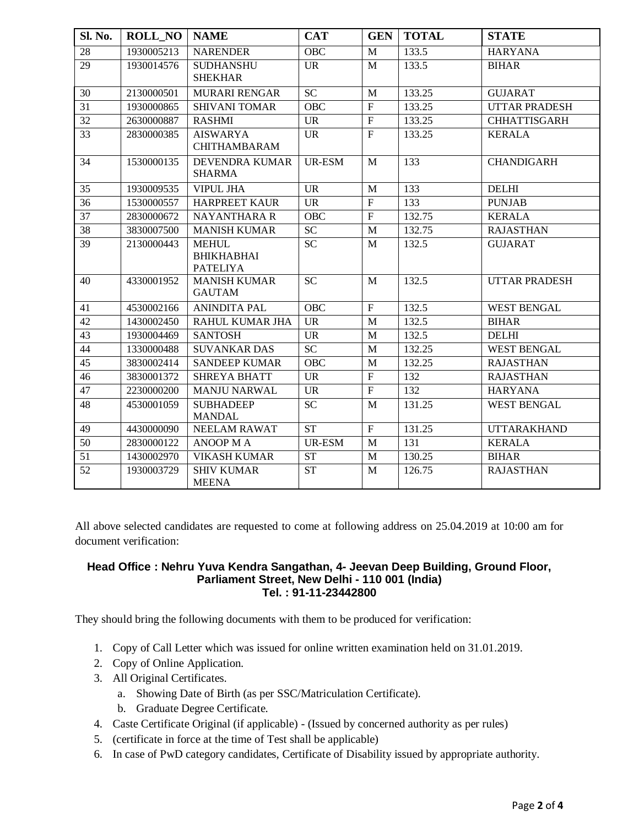| Sl. No.         | <b>ROLL_NO</b> | <b>NAME</b>                                          | <b>CAT</b>             | <b>GEN</b>     | <b>TOTAL</b>     | <b>STATE</b>         |
|-----------------|----------------|------------------------------------------------------|------------------------|----------------|------------------|----------------------|
| 28              | 1930005213     | <b>NARENDER</b>                                      | <b>OBC</b>             | M              | 133.5            | <b>HARYANA</b>       |
| $\overline{29}$ | 1930014576     | <b>SUDHANSHU</b><br><b>SHEKHAR</b>                   | <b>UR</b>              | M              | 133.5            | <b>BIHAR</b>         |
| 30              | 2130000501     | <b>MURARI RENGAR</b>                                 | $\overline{SC}$        | M              | 133.25           | <b>GUJARAT</b>       |
| 31              | 1930000865     | <b>SHIVANI TOMAR</b>                                 | <b>OBC</b>             | $\overline{F}$ | 133.25           | <b>UTTAR PRADESH</b> |
| $\overline{32}$ | 2630000887     | <b>RASHMI</b>                                        | UR                     | $\mathbf F$    | 133.25           | <b>CHHATTISGARH</b>  |
| 33              | 2830000385     | <b>AISWARYA</b><br><b>CHITHAMBARAM</b>               | <b>UR</b>              | $\mathbf F$    | 133.25           | <b>KERALA</b>        |
| 34              | 1530000135     | <b>DEVENDRA KUMAR</b><br><b>SHARMA</b>               | UR-ESM                 | M              | 133              | <b>CHANDIGARH</b>    |
| 35              | 1930009535     | <b>VIPUL JHA</b>                                     | <b>UR</b>              | M              | 133              | <b>DELHI</b>         |
| 36              | 1530000557     | <b>HARPREET KAUR</b>                                 | <b>UR</b>              | $_{\rm F}$     | 133              | <b>PUNJAB</b>        |
| 37              | 2830000672     | <b>NAYANTHARA R</b>                                  | <b>OBC</b>             | $\mathbf F$    | 132.75           | <b>KERALA</b>        |
| $\overline{38}$ | 3830007500     | <b>MANISH KUMAR</b>                                  | $\overline{SC}$        | $\mathbf{M}$   | 132.75           | <b>RAJASTHAN</b>     |
| 39              | 2130000443     | <b>MEHUL</b><br><b>BHIKHABHAI</b><br><b>PATELIYA</b> | <b>SC</b>              | M              | 132.5            | <b>GUJARAT</b>       |
| 40              | 4330001952     | <b>MANISH KUMAR</b><br><b>GAUTAM</b>                 | <b>SC</b>              | M              | 132.5            | <b>UTTAR PRADESH</b> |
| 41              | 4530002166     | <b>ANINDITA PAL</b>                                  | <b>OBC</b>             | $\mathbf F$    | 132.5            | <b>WEST BENGAL</b>   |
| 42              | 1430002450     | RAHUL KUMAR JHA                                      | <b>UR</b>              | M              | 132.5            | <b>BIHAR</b>         |
| 43              | 1930004469     | <b>SANTOSH</b>                                       | <b>UR</b>              | M              | 132.5            | <b>DELHI</b>         |
| 44              | 1330000488     | <b>SUVANKAR DAS</b>                                  | <b>SC</b>              | M              | 132.25           | <b>WEST BENGAL</b>   |
| 45              | 3830002414     | <b>SANDEEP KUMAR</b>                                 | <b>OBC</b>             | M              | 132.25           | <b>RAJASTHAN</b>     |
| 46              | 3830001372     | <b>SHREYA BHATT</b>                                  | <b>UR</b>              | $\mathbf F$    | 132              | <b>RAJASTHAN</b>     |
| 47              | 2230000200     | <b>MANJU NARWAL</b>                                  | <b>UR</b>              | $\mathbf F$    | $\overline{132}$ | <b>HARYANA</b>       |
| 48              | 4530001059     | <b>SUBHADEEP</b><br><b>MANDAL</b>                    | <b>SC</b>              | M              | 131.25           | <b>WEST BENGAL</b>   |
| 49              | 4430000090     | NEELAM RAWAT                                         | $\overline{\text{ST}}$ | ${\bf F}$      | 131.25           | <b>UTTARAKHAND</b>   |
| 50              | 2830000122     | <b>ANOOP MA</b>                                      | <b>UR-ESM</b>          | M              | 131              | <b>KERALA</b>        |
| 51              | 1430002970     | <b>VIKASH KUMAR</b>                                  | <b>ST</b>              | M              | 130.25           | <b>BIHAR</b>         |
| 52              | 1930003729     | <b>SHIV KUMAR</b><br><b>MEENA</b>                    | <b>ST</b>              | M              | 126.75           | <b>RAJASTHAN</b>     |

All above selected candidates are requested to come at following address on 25.04.2019 at 10:00 am for document verification:

### **Head Office : Nehru Yuva Kendra Sangathan, 4- Jeevan Deep Building, Ground Floor, Parliament Street, New Delhi - 110 001 (India) Tel. : 91-11-23442800**

They should bring the following documents with them to be produced for verification:

- 1. Copy of Call Letter which was issued for online written examination held on 31.01.2019.
- 2. Copy of Online Application.
- 3. All Original Certificates.
	- a. Showing Date of Birth (as per SSC/Matriculation Certificate).
	- b. Graduate Degree Certificate.
- 4. Caste Certificate Original (if applicable) (Issued by concerned authority as per rules)
- 5. (certificate in force at the time of Test shall be applicable)
- 6. In case of PwD category candidates, Certificate of Disability issued by appropriate authority.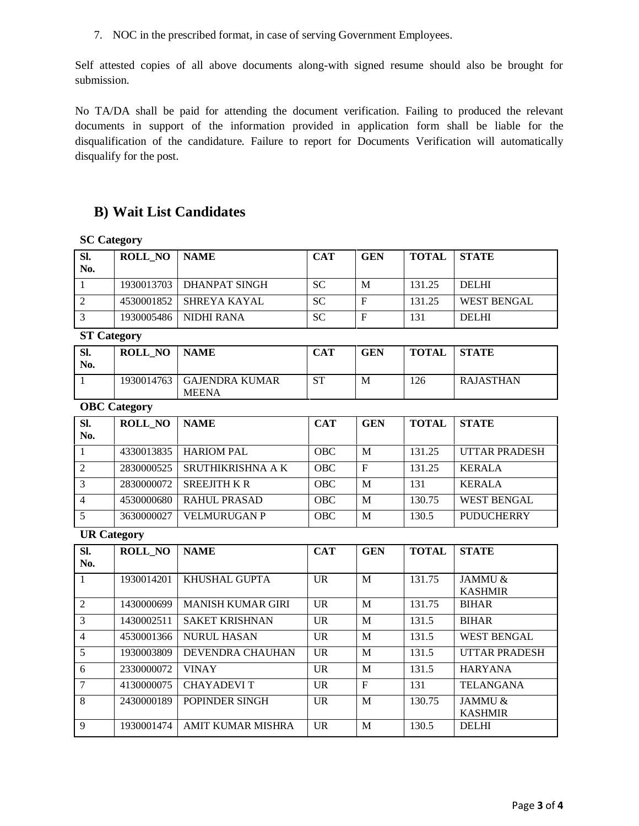7. NOC in the prescribed format, in case of serving Government Employees.

Self attested copies of all above documents along-with signed resume should also be brought for submission.

No TA/DA shall be paid for attending the document verification. Failing to produced the relevant documents in support of the information provided in application form shall be liable for the disqualification of the candidature. Failure to report for Documents Verification will automatically disqualify for the post.

## **B) Wait List Candidates**

### **SC Category**

| SI.<br>No. | <b>ROLL NO</b> | <b>NAME</b>              | <b>CAT</b> | <b>GEN</b> | TOTAL  | <b>STATE</b>       |
|------------|----------------|--------------------------|------------|------------|--------|--------------------|
|            |                | 1930013703 DHANPAT SINGH | <b>SC</b>  | M          | 131.25 | <b>DELHI</b>       |
|            |                | 4530001852 SHREYA KAYAL  | <b>SC</b>  | E          | 131.25 | <b>WEST BENGAL</b> |
|            | 1930005486     | NIDHI RANA               | <b>SC</b>  | F          | 131    | <b>DELHI</b>       |

### **ST Category**

| Sl.<br>No. | <b>ROLL NO</b> | <b>NAME</b>                           | CAT | <b>GEN</b> | <b>TOTAL</b> | <b>STATE</b>     |
|------------|----------------|---------------------------------------|-----|------------|--------------|------------------|
|            | 1930014763     | <b>GAJENDRA KUMAR</b><br><b>MEENA</b> | ST  | M          | 126          | <b>RAJASTHAN</b> |

#### **OBC Category**

| SI.<br>No. | <b>ROLL NO</b> | <b>NAME</b>         | <b>CAT</b> | <b>GEN</b> | <b>TOTAL</b> | <b>STATE</b>         |
|------------|----------------|---------------------|------------|------------|--------------|----------------------|
|            | 4330013835     | <b>HARIOM PAL</b>   | <b>OBC</b> | M          | 131.25       | <b>UTTAR PRADESH</b> |
|            | 2830000525     | SRUTHIKRISHNA A K   | <b>OBC</b> | F          | 131.25       | <b>KERALA</b>        |
|            | 2830000072     | <b>SREEJITH K R</b> | <b>OBC</b> | M          | 131          | <b>KERALA</b>        |
|            | 4530000680     | RAHUL PRASAD        | <b>OBC</b> | M          | 130.75       | <b>WEST BENGAL</b>   |
|            | 3630000027     | <b>VELMURUGAN P</b> | <b>OBC</b> | M          | 130.5        | <b>PUDUCHERRY</b>    |

### **UR Category**

| SI.            | <b>ROLL_NO</b> | <b>NAME</b>              | <b>CAT</b>     | <b>GEN</b> | <b>TOTAL</b> | <b>STATE</b>         |
|----------------|----------------|--------------------------|----------------|------------|--------------|----------------------|
| No.            |                |                          |                |            |              |                      |
|                | 1930014201     | KHUSHAL GUPTA            | UR             | M          | 131.75       | JAMMU &              |
|                |                |                          |                |            |              | <b>KASHMIR</b>       |
| 2              | 1430000699     | <b>MANISH KUMAR GIRI</b> | $_{\text{UR}}$ | M          | 131.75       | <b>BIHAR</b>         |
| 3              | 1430002511     | <b>SAKET KRISHNAN</b>    | UR             | M          | 131.5        | <b>BIHAR</b>         |
| $\overline{4}$ | 4530001366     | <b>NURUL HASAN</b>       | <b>UR</b>      | M          | 131.5        | <b>WEST BENGAL</b>   |
| 5              | 1930003809     | DEVENDRA CHAUHAN         | UR             | M          | 131.5        | <b>UTTAR PRADESH</b> |
| 6              | 2330000072     | <b>VINAY</b>             | UR             | M          | 131.5        | <b>HARYANA</b>       |
| 7              | 4130000075     | <b>CHAYADEVIT</b>        | UR             | F          | 131          | <b>TELANGANA</b>     |
| 8              | 2430000189     | POPINDER SINGH           | <b>UR</b>      | M          | 130.75       | JAMMU &              |
|                |                |                          |                |            |              | <b>KASHMIR</b>       |
| $\mathbf Q$    | 1930001474     | AMIT KUMAR MISHRA        | UR             | M          | 130.5        | <b>DELHI</b>         |